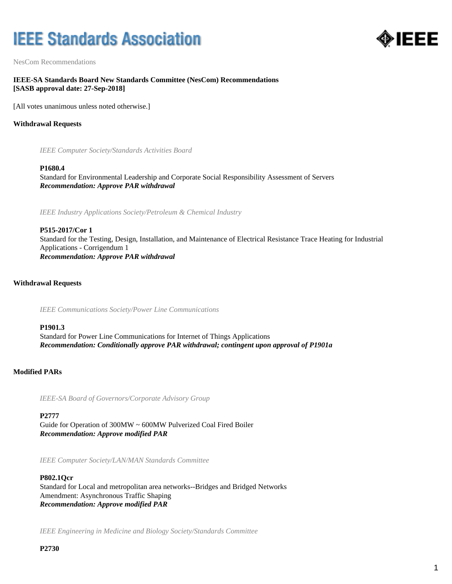# **IEEE Standards Association**



NesCom Recommendations

# **IEEE-SA Standards Board New Standards Committee (NesCom) Recommendations [SASB approval date: 27-Sep-2018]**

[All votes unanimous unless noted otherwise.]

# **Withdrawal Requests**

*IEEE Computer Society/Standards Activities Board*

#### **P1680.4**

Standard for Environmental Leadership and Corporate Social Responsibility Assessment of Servers *Recommendation: Approve PAR withdrawal*

*IEEE Industry Applications Society/Petroleum & Chemical Industry*

# **P515-2017/Cor 1** Standard for the Testing, Design, Installation, and Maintenance of Electrical Resistance Trace Heating for Industrial Applications - Corrigendum 1 *Recommendation: Approve PAR withdrawal*

#### **Withdrawal Requests**

*IEEE Communications Society/Power Line Communications*

#### **P1901.3**

Standard for Power Line Communications for Internet of Things Applications *Recommendation: Conditionally approve PAR withdrawal; contingent upon approval of P1901a*

#### **Modified PARs**

*IEEE-SA Board of Governors/Corporate Advisory Group*

**P2777**

Guide for Operation of 300MW ~ 600MW Pulverized Coal Fired Boiler *Recommendation: Approve modified PAR*

*IEEE Computer Society/LAN/MAN Standards Committee*

# **P802.1Qcr** Standard for Local and metropolitan area networks--Bridges and Bridged Networks Amendment: Asynchronous Traffic Shaping *Recommendation: Approve modified PAR*

*IEEE Engineering in Medicine and Biology Society/Standards Committee*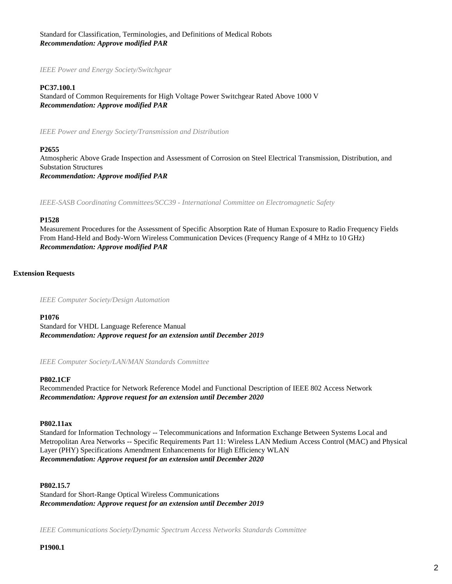Standard for Classification, Terminologies, and Definitions of Medical Robots *Recommendation: Approve modified PAR*

*IEEE Power and Energy Society/Switchgear*

#### **PC37.100.1**

Standard of Common Requirements for High Voltage Power Switchgear Rated Above 1000 V *Recommendation: Approve modified PAR*

*IEEE Power and Energy Society/Transmission and Distribution*

#### **P2655**

Atmospheric Above Grade Inspection and Assessment of Corrosion on Steel Electrical Transmission, Distribution, and Substation Structures *Recommendation: Approve modified PAR*

*IEEE-SASB Coordinating Committees/SCC39 - International Committee on Electromagnetic Safety*

#### **P1528**

Measurement Procedures for the Assessment of Specific Absorption Rate of Human Exposure to Radio Frequency Fields From Hand-Held and Body-Worn Wireless Communication Devices (Frequency Range of 4 MHz to 10 GHz) *Recommendation: Approve modified PAR*

# **Extension Requests**

*IEEE Computer Society/Design Automation*

#### **P1076**

Standard for VHDL Language Reference Manual *Recommendation: Approve request for an extension until December 2019*

*IEEE Computer Society/LAN/MAN Standards Committee*

#### **P802.1CF**

Recommended Practice for Network Reference Model and Functional Description of IEEE 802 Access Network *Recommendation: Approve request for an extension until December 2020*

# **P802.11ax**

Standard for Information Technology -- Telecommunications and Information Exchange Between Systems Local and Metropolitan Area Networks -- Specific Requirements Part 11: Wireless LAN Medium Access Control (MAC) and Physical Layer (PHY) Specifications Amendment Enhancements for High Efficiency WLAN *Recommendation: Approve request for an extension until December 2020*

#### **P802.15.7**

Standard for Short-Range Optical Wireless Communications *Recommendation: Approve request for an extension until December 2019*

*IEEE Communications Society/Dynamic Spectrum Access Networks Standards Committee*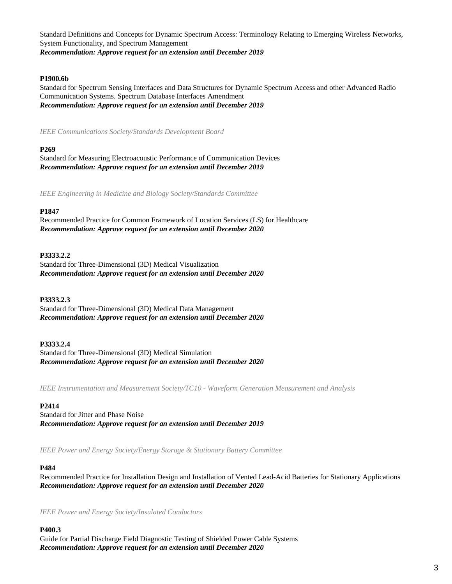Standard Definitions and Concepts for Dynamic Spectrum Access: Terminology Relating to Emerging Wireless Networks, System Functionality, and Spectrum Management *Recommendation: Approve request for an extension until December 2019*

# **P1900.6b**

Standard for Spectrum Sensing Interfaces and Data Structures for Dynamic Spectrum Access and other Advanced Radio Communication Systems. Spectrum Database Interfaces Amendment *Recommendation: Approve request for an extension until December 2019*

*IEEE Communications Society/Standards Development Board*

# **P269**

Standard for Measuring Electroacoustic Performance of Communication Devices *Recommendation: Approve request for an extension until December 2019*

*IEEE Engineering in Medicine and Biology Society/Standards Committee*

# **P1847**

Recommended Practice for Common Framework of Location Services (LS) for Healthcare *Recommendation: Approve request for an extension until December 2020*

# **P3333.2.2**

Standard for Three-Dimensional (3D) Medical Visualization *Recommendation: Approve request for an extension until December 2020*

# **P3333.2.3**

Standard for Three-Dimensional (3D) Medical Data Management *Recommendation: Approve request for an extension until December 2020*

# **P3333.2.4**

Standard for Three-Dimensional (3D) Medical Simulation *Recommendation: Approve request for an extension until December 2020*

*IEEE Instrumentation and Measurement Society/TC10 - Waveform Generation Measurement and Analysis*

# **P2414**

Standard for Jitter and Phase Noise *Recommendation: Approve request for an extension until December 2019*

*IEEE Power and Energy Society/Energy Storage & Stationary Battery Committee*

# **P484**

Recommended Practice for Installation Design and Installation of Vented Lead-Acid Batteries for Stationary Applications *Recommendation: Approve request for an extension until December 2020*

*IEEE Power and Energy Society/Insulated Conductors*

# **P400.3**

Guide for Partial Discharge Field Diagnostic Testing of Shielded Power Cable Systems *Recommendation: Approve request for an extension until December 2020*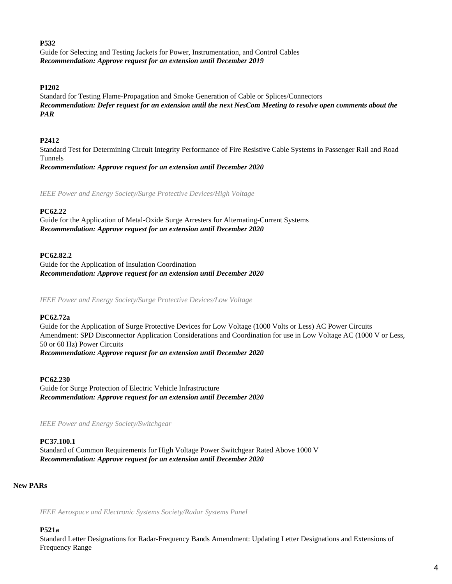## **P532**

Guide for Selecting and Testing Jackets for Power, Instrumentation, and Control Cables *Recommendation: Approve request for an extension until December 2019*

# **P1202**

Standard for Testing Flame-Propagation and Smoke Generation of Cable or Splices/Connectors *Recommendation: Defer request for an extension until the next NesCom Meeting to resolve open comments about the PAR*

## **P2412**

Standard Test for Determining Circuit Integrity Performance of Fire Resistive Cable Systems in Passenger Rail and Road Tunnels

*Recommendation: Approve request for an extension until December 2020*

*IEEE Power and Energy Society/Surge Protective Devices/High Voltage*

# **PC62.22**

Guide for the Application of Metal-Oxide Surge Arresters for Alternating-Current Systems *Recommendation: Approve request for an extension until December 2020*

## **PC62.82.2**

Guide for the Application of Insulation Coordination *Recommendation: Approve request for an extension until December 2020*

*IEEE Power and Energy Society/Surge Protective Devices/Low Voltage*

## **PC62.72a**

Guide for the Application of Surge Protective Devices for Low Voltage (1000 Volts or Less) AC Power Circuits Amendment: SPD Disconnector Application Considerations and Coordination for use in Low Voltage AC (1000 V or Less, 50 or 60 Hz) Power Circuits *Recommendation: Approve request for an extension until December 2020*

**PC62.230** Guide for Surge Protection of Electric Vehicle Infrastructure *Recommendation: Approve request for an extension until December 2020*

*IEEE Power and Energy Society/Switchgear*

## **PC37.100.1**

Standard of Common Requirements for High Voltage Power Switchgear Rated Above 1000 V *Recommendation: Approve request for an extension until December 2020*

# **New PARs**

*IEEE Aerospace and Electronic Systems Society/Radar Systems Panel*

#### **P521a**

Standard Letter Designations for Radar-Frequency Bands Amendment: Updating Letter Designations and Extensions of Frequency Range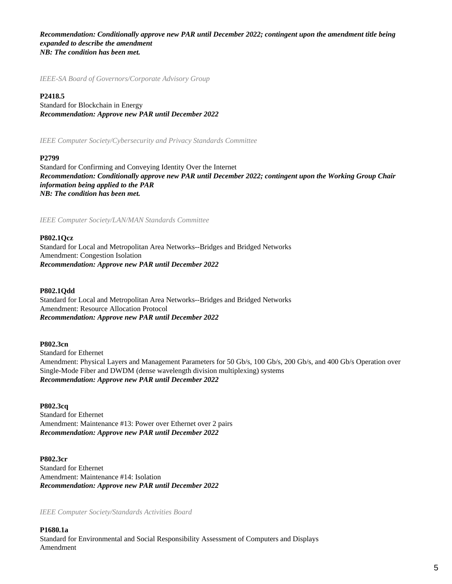*Recommendation: Conditionally approve new PAR until December 2022; contingent upon the amendment title being expanded to describe the amendment NB: The condition has been met.*

*IEEE-SA Board of Governors/Corporate Advisory Group*

#### **P2418.5**

Standard for Blockchain in Energy *Recommendation: Approve new PAR until December 2022*

*IEEE Computer Society/Cybersecurity and Privacy Standards Committee*

#### **P2799**

Standard for Confirming and Conveying Identity Over the Internet *Recommendation: Conditionally approve new PAR until December 2022; contingent upon the Working Group Chair information being applied to the PAR NB: The condition has been met.*

*IEEE Computer Society/LAN/MAN Standards Committee*

#### **P802.1Qcz**

Standard for Local and Metropolitan Area Networks--Bridges and Bridged Networks Amendment: Congestion Isolation *Recommendation: Approve new PAR until December 2022*

#### **P802.1Qdd**

Standard for Local and Metropolitan Area Networks--Bridges and Bridged Networks Amendment: Resource Allocation Protocol *Recommendation: Approve new PAR until December 2022*

#### **P802.3cn**

Standard for Ethernet Amendment: Physical Layers and Management Parameters for 50 Gb/s, 100 Gb/s, 200 Gb/s, and 400 Gb/s Operation over Single-Mode Fiber and DWDM (dense wavelength division multiplexing) systems *Recommendation: Approve new PAR until December 2022*

**P802.3cq** Standard for Ethernet Amendment: Maintenance #13: Power over Ethernet over 2 pairs *Recommendation: Approve new PAR until December 2022*

**P802.3cr** Standard for Ethernet Amendment: Maintenance #14: Isolation *Recommendation: Approve new PAR until December 2022*

*IEEE Computer Society/Standards Activities Board*

**P1680.1a** Standard for Environmental and Social Responsibility Assessment of Computers and Displays Amendment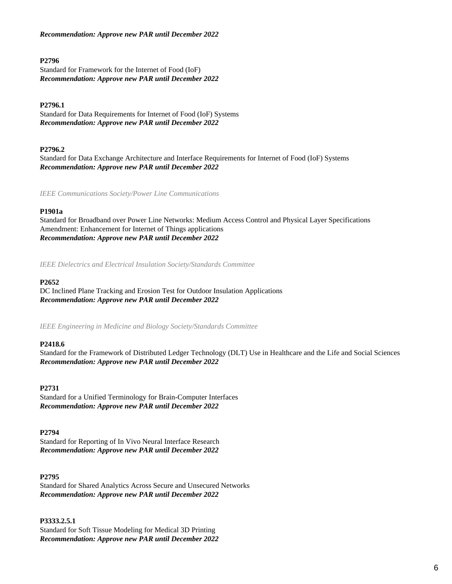# *Recommendation: Approve new PAR until December 2022*

## **P2796**

Standard for Framework for the Internet of Food (IoF) *Recommendation: Approve new PAR until December 2022*

# **P2796.1**

Standard for Data Requirements for Internet of Food (IoF) Systems *Recommendation: Approve new PAR until December 2022*

## **P2796.2**

Standard for Data Exchange Architecture and Interface Requirements for Internet of Food (IoF) Systems *Recommendation: Approve new PAR until December 2022*

*IEEE Communications Society/Power Line Communications*

## **P1901a**

Standard for Broadband over Power Line Networks: Medium Access Control and Physical Layer Specifications Amendment: Enhancement for Internet of Things applications *Recommendation: Approve new PAR until December 2022*

*IEEE Dielectrics and Electrical Insulation Society/Standards Committee*

#### **P2652**

DC Inclined Plane Tracking and Erosion Test for Outdoor Insulation Applications *Recommendation: Approve new PAR until December 2022*

*IEEE Engineering in Medicine and Biology Society/Standards Committee*

#### **P2418.6**

Standard for the Framework of Distributed Ledger Technology (DLT) Use in Healthcare and the Life and Social Sciences *Recommendation: Approve new PAR until December 2022*

#### **P2731**

Standard for a Unified Terminology for Brain-Computer Interfaces *Recommendation: Approve new PAR until December 2022*

#### **P2794**

Standard for Reporting of In Vivo Neural Interface Research *Recommendation: Approve new PAR until December 2022*

#### **P2795**

Standard for Shared Analytics Across Secure and Unsecured Networks *Recommendation: Approve new PAR until December 2022*

**P3333.2.5.1**

Standard for Soft Tissue Modeling for Medical 3D Printing *Recommendation: Approve new PAR until December 2022*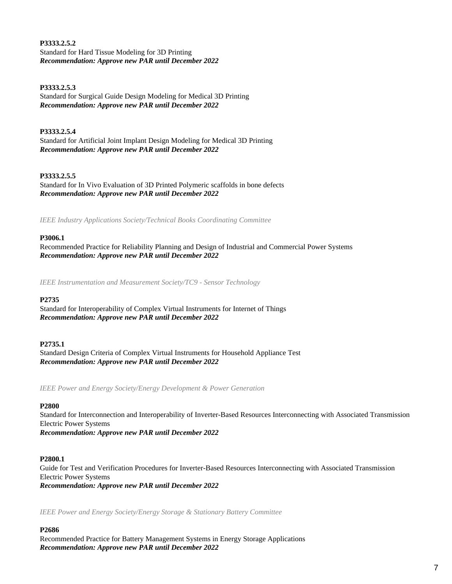**P3333.2.5.2** Standard for Hard Tissue Modeling for 3D Printing *Recommendation: Approve new PAR until December 2022*

# **P3333.2.5.3**

Standard for Surgical Guide Design Modeling for Medical 3D Printing *Recommendation: Approve new PAR until December 2022*

# **P3333.2.5.4**

Standard for Artificial Joint Implant Design Modeling for Medical 3D Printing *Recommendation: Approve new PAR until December 2022*

# **P3333.2.5.5**

Standard for In Vivo Evaluation of 3D Printed Polymeric scaffolds in bone defects *Recommendation: Approve new PAR until December 2022*

*IEEE Industry Applications Society/Technical Books Coordinating Committee*

# **P3006.1**

Recommended Practice for Reliability Planning and Design of Industrial and Commercial Power Systems *Recommendation: Approve new PAR until December 2022*

*IEEE Instrumentation and Measurement Society/TC9 - Sensor Technology*

# **P2735**

Standard for Interoperability of Complex Virtual Instruments for Internet of Things *Recommendation: Approve new PAR until December 2022*

# **P2735.1**

Standard Design Criteria of Complex Virtual Instruments for Household Appliance Test *Recommendation: Approve new PAR until December 2022*

*IEEE Power and Energy Society/Energy Development & Power Generation*

# **P2800**

Standard for Interconnection and Interoperability of Inverter-Based Resources Interconnecting with Associated Transmission Electric Power Systems

*Recommendation: Approve new PAR until December 2022*

# **P2800.1**

Guide for Test and Verification Procedures for Inverter-Based Resources Interconnecting with Associated Transmission Electric Power Systems *Recommendation: Approve new PAR until December 2022*

*IEEE Power and Energy Society/Energy Storage & Stationary Battery Committee*

# **P2686**

Recommended Practice for Battery Management Systems in Energy Storage Applications *Recommendation: Approve new PAR until December 2022*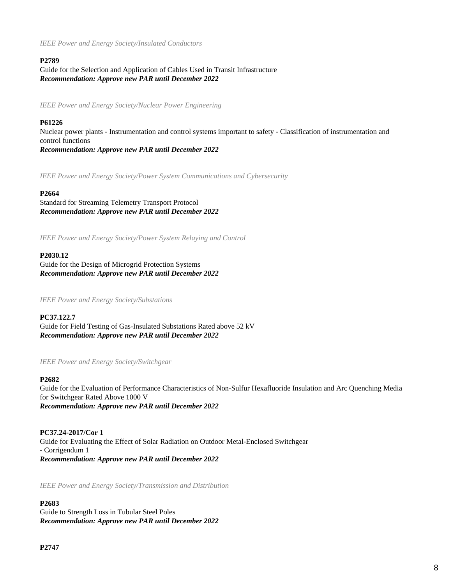*IEEE Power and Energy Society/Insulated Conductors*

# **P2789**

Guide for the Selection and Application of Cables Used in Transit Infrastructure *Recommendation: Approve new PAR until December 2022*

*IEEE Power and Energy Society/Nuclear Power Engineering*

# **P61226**

Nuclear power plants - Instrumentation and control systems important to safety - Classification of instrumentation and control functions *Recommendation: Approve new PAR until December 2022*

*IEEE Power and Energy Society/Power System Communications and Cybersecurity*

## **P2664**

Standard for Streaming Telemetry Transport Protocol *Recommendation: Approve new PAR until December 2022*

*IEEE Power and Energy Society/Power System Relaying and Control*

## **P2030.12**

Guide for the Design of Microgrid Protection Systems *Recommendation: Approve new PAR until December 2022*

*IEEE Power and Energy Society/Substations*

**PC37.122.7** Guide for Field Testing of Gas-Insulated Substations Rated above 52 kV *Recommendation: Approve new PAR until December 2022*

*IEEE Power and Energy Society/Switchgear*

#### **P2682**

Guide for the Evaluation of Performance Characteristics of Non-Sulfur Hexafluoride Insulation and Arc Quenching Media for Switchgear Rated Above 1000 V *Recommendation: Approve new PAR until December 2022*

**PC37.24-2017/Cor 1** Guide for Evaluating the Effect of Solar Radiation on Outdoor Metal-Enclosed Switchgear - Corrigendum 1 *Recommendation: Approve new PAR until December 2022*

*IEEE Power and Energy Society/Transmission and Distribution*

# **P2683**

Guide to Strength Loss in Tubular Steel Poles *Recommendation: Approve new PAR until December 2022*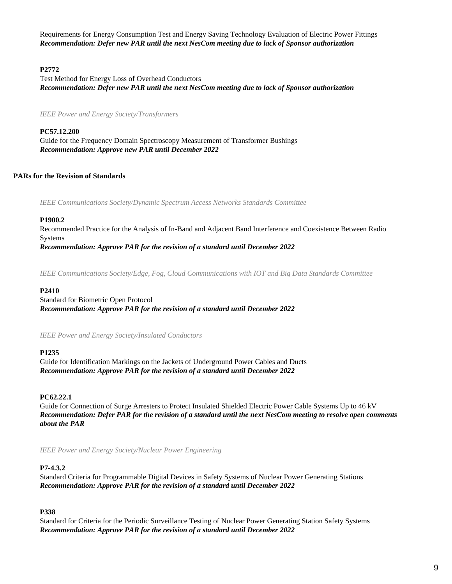Requirements for Energy Consumption Test and Energy Saving Technology Evaluation of Electric Power Fittings *Recommendation: Defer new PAR until the next NesCom meeting due to lack of Sponsor authorization*

# **P2772**

Test Method for Energy Loss of Overhead Conductors *Recommendation: Defer new PAR until the next NesCom meeting due to lack of Sponsor authorization*

*IEEE Power and Energy Society/Transformers*

**PC57.12.200** Guide for the Frequency Domain Spectroscopy Measurement of Transformer Bushings *Recommendation: Approve new PAR until December 2022*

# **PARs for the Revision of Standards**

*IEEE Communications Society/Dynamic Spectrum Access Networks Standards Committee*

# **P1900.2**

Recommended Practice for the Analysis of In-Band and Adjacent Band Interference and Coexistence Between Radio Systems *Recommendation: Approve PAR for the revision of a standard until December 2022*

*IEEE Communications Society/Edge, Fog, Cloud Communications with IOT and Big Data Standards Committee*

#### **P2410**

Standard for Biometric Open Protocol *Recommendation: Approve PAR for the revision of a standard until December 2022*

*IEEE Power and Energy Society/Insulated Conductors*

# **P1235**

Guide for Identification Markings on the Jackets of Underground Power Cables and Ducts *Recommendation: Approve PAR for the revision of a standard until December 2022*

# **PC62.22.1**

Guide for Connection of Surge Arresters to Protect Insulated Shielded Electric Power Cable Systems Up to 46 kV *Recommendation: Defer PAR for the revision of a standard until the next NesCom meeting to resolve open comments about the PAR*

*IEEE Power and Energy Society/Nuclear Power Engineering*

# **P7-4.3.2**

Standard Criteria for Programmable Digital Devices in Safety Systems of Nuclear Power Generating Stations *Recommendation: Approve PAR for the revision of a standard until December 2022*

# **P338**

Standard for Criteria for the Periodic Surveillance Testing of Nuclear Power Generating Station Safety Systems *Recommendation: Approve PAR for the revision of a standard until December 2022*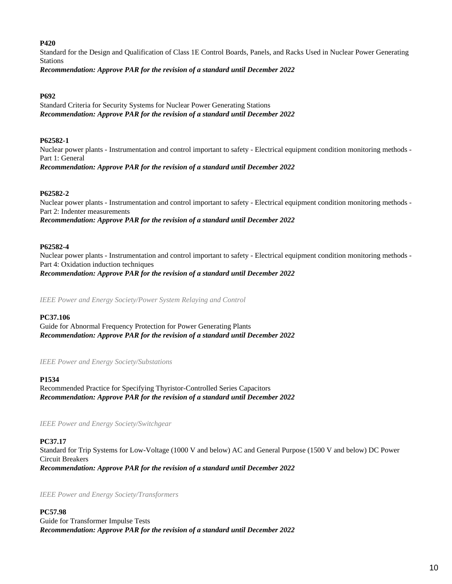# **P420**

Standard for the Design and Qualification of Class 1E Control Boards, Panels, and Racks Used in Nuclear Power Generating Stations

*Recommendation: Approve PAR for the revision of a standard until December 2022*

# **P692**

Standard Criteria for Security Systems for Nuclear Power Generating Stations *Recommendation: Approve PAR for the revision of a standard until December 2022*

# **P62582-1**

Nuclear power plants - Instrumentation and control important to safety - Electrical equipment condition monitoring methods - Part 1: General *Recommendation: Approve PAR for the revision of a standard until December 2022*

## **P62582-2**

Nuclear power plants - Instrumentation and control important to safety - Electrical equipment condition monitoring methods - Part 2: Indenter measurements *Recommendation: Approve PAR for the revision of a standard until December 2022*

# **P62582-4**

Nuclear power plants - Instrumentation and control important to safety - Electrical equipment condition monitoring methods - Part 4: Oxidation induction techniques

*Recommendation: Approve PAR for the revision of a standard until December 2022*

*IEEE Power and Energy Society/Power System Relaying and Control*

# **PC37.106**

Guide for Abnormal Frequency Protection for Power Generating Plants *Recommendation: Approve PAR for the revision of a standard until December 2022*

*IEEE Power and Energy Society/Substations*

# **P1534**

Recommended Practice for Specifying Thyristor-Controlled Series Capacitors *Recommendation: Approve PAR for the revision of a standard until December 2022*

*IEEE Power and Energy Society/Switchgear*

# **PC37.17**

Standard for Trip Systems for Low-Voltage (1000 V and below) AC and General Purpose (1500 V and below) DC Power Circuit Breakers *Recommendation: Approve PAR for the revision of a standard until December 2022*

*IEEE Power and Energy Society/Transformers*

**PC57.98** Guide for Transformer Impulse Tests *Recommendation: Approve PAR for the revision of a standard until December 2022*